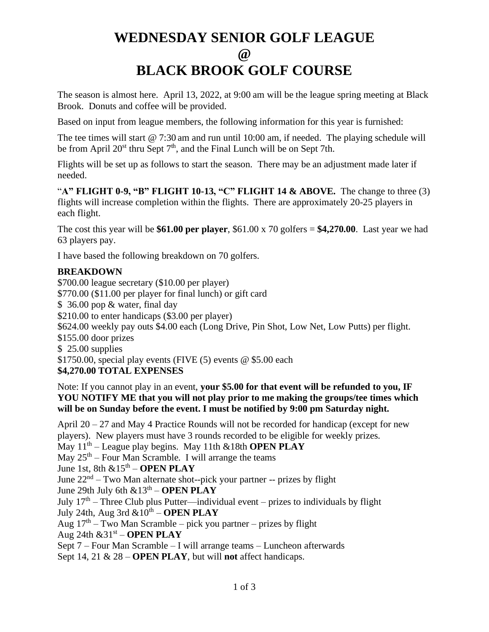## **WEDNESDAY SENIOR GOLF LEAGUE**

**@**

# **BLACK BROOK GOLF COURSE**

The season is almost here. April 13, 2022, at 9:00 am will be the league spring meeting at Black Brook. Donuts and coffee will be provided.

Based on input from league members, the following information for this year is furnished:

The tee times will start @ 7:30 am and run until 10:00 am, if needed. The playing schedule will be from April  $20^{st}$  thru Sept  $7^{th}$ , and the Final Lunch will be on Sept 7th.

Flights will be set up as follows to start the season. There may be an adjustment made later if needed.

"**A" FLIGHT 0-9, "B" FLIGHT 10-13, "C" FLIGHT 14 & ABOVE.** The change to three (3) flights will increase completion within the flights. There are approximately 20-25 players in each flight.

The cost this year will be **\$61.00 per player**, \$61.00 x 70 golfers = **\$4,270.00**. Last year we had 63 players pay.

I have based the following breakdown on 70 golfers.

#### **BREAKDOWN**

\$700.00 league secretary (\$10.00 per player) \$770.00 (\$11.00 per player for final lunch) or gift card \$ 36.00 pop & water, final day \$210.00 to enter handicaps (\$3.00 per player) \$624.00 weekly pay outs \$4.00 each (Long Drive, Pin Shot, Low Net, Low Putts) per flight. \$155.00 door prizes \$25.00 supplies \$1750.00, special play events (FIVE (5) events @ \$5.00 each **\$4,270.00 TOTAL EXPENSES**

Note: If you cannot play in an event, **your \$5.00 for that event will be refunded to you, IF YOU NOTIFY ME that you will not play prior to me making the groups/tee times which will be on Sunday before the event. I must be notified by 9:00 pm Saturday night.**

April  $20 - 27$  and May 4 Practice Rounds will not be recorded for handicap (except for new players). New players must have 3 rounds recorded to be eligible for weekly prizes. May 11th – League play begins. May 11th &18th **OPEN PLAY** May  $25<sup>th</sup>$  – Four Man Scramble. I will arrange the teams June 1st, 8th &15th – **OPEN PLAY** June 22<sup>nd</sup> – Two Man alternate shot--pick your partner -- prizes by flight June 29th July 6th  $& 13<sup>th</sup> - **OPEN PLAY**$ July  $17<sup>th</sup>$  – Three Club plus Putter—individual event – prizes to individuals by flight July 24th, Aug 3rd &10th – **OPEN PLAY** Aug  $17<sup>th</sup> - Two Man Scramble – pick you partner – prizes by flight$ Aug 24th &31st – **OPEN PLAY** Sept 7 – Four Man Scramble – I will arrange teams – Luncheon afterwards

Sept 14, 21 & 28 – **OPEN PLAY**, but will **not** affect handicaps.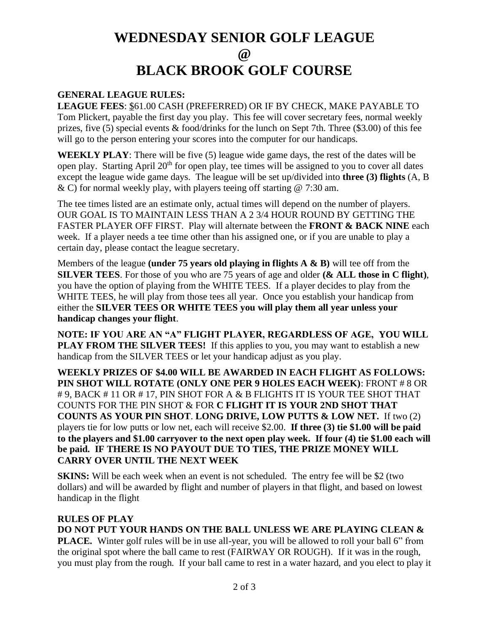### **WEDNESDAY SENIOR GOLF LEAGUE @ BLACK BROOK GOLF COURSE**

### **GENERAL LEAGUE RULES:**

**LEAGUE FEES**: \$61.00 CASH (PREFERRED) OR IF BY CHECK, MAKE PAYABLE TO Tom Plickert, payable the first day you play. This fee will cover secretary fees, normal weekly prizes, five (5) special events & food/drinks for the lunch on Sept 7th. Three (\$3.00) of this fee will go to the person entering your scores into the computer for our handicaps.

**WEEKLY PLAY**: There will be five (5) league wide game days, the rest of the dates will be open play. Starting April 20<sup>th</sup> for open play, tee times will be assigned to you to cover all dates except the league wide game days. The league will be set up/divided into **three (3) flights** (A, B & C) for normal weekly play, with players teeing off starting @ 7:30 am.

The tee times listed are an estimate only, actual times will depend on the number of players. OUR GOAL IS TO MAINTAIN LESS THAN A 2 3/4 HOUR ROUND BY GETTING THE FASTER PLAYER OFF FIRST. Play will alternate between the **FRONT & BACK NINE** each week. If a player needs a tee time other than his assigned one, or if you are unable to play a certain day, please contact the league secretary.

Members of the league **(under 75 years old playing in flights A & B)** will tee off from the **SILVER TEES**. For those of you who are 75 years of age and older **(& ALL those in C flight)**, you have the option of playing from the WHITE TEES. If a player decides to play from the WHITE TEES, he will play from those tees all year. Once you establish your handicap from either the **SILVER TEES OR WHITE TEES you will play them all year unless your handicap changes your flight**.

**NOTE: IF YOU ARE AN "A" FLIGHT PLAYER, REGARDLESS OF AGE, YOU WILL PLAY FROM THE SILVER TEES!** If this applies to you, you may want to establish a new handicap from the SILVER TEES or let your handicap adjust as you play.

**WEEKLY PRIZES OF \$4.00 WILL BE AWARDED IN EACH FLIGHT AS FOLLOWS: PIN SHOT WILL ROTATE (ONLY ONE PER 9 HOLES EACH WEEK)**: FRONT # 8 OR # 9, BACK # 11 OR # 17, PIN SHOT FOR A & B FLIGHTS IT IS YOUR TEE SHOT THAT COUNTS FOR THE PIN SHOT & FOR **C FLIGHT IT IS YOUR 2ND SHOT THAT COUNTS AS YOUR PIN SHOT**. **LONG DRIVE, LOW PUTTS & LOW NET.** If two (2) players tie for low putts or low net, each will receive \$2.00. **If three (3) tie \$1.00 will be paid to the players and \$1.00 carryover to the next open play week. If four (4) tie \$1.00 each will be paid. IF THERE IS NO PAYOUT DUE TO TIES, THE PRIZE MONEY WILL CARRY OVER UNTIL THE NEXT WEEK**

**SKINS:** Will be each week when an event is not scheduled. The entry fee will be \$2 (two dollars) and will be awarded by flight and number of players in that flight, and based on lowest handicap in the flight

#### **RULES OF PLAY**

**DO NOT PUT YOUR HANDS ON THE BALL UNLESS WE ARE PLAYING CLEAN & PLACE.** Winter golf rules will be in use all-year, you will be allowed to roll your ball 6" from the original spot where the ball came to rest (FAIRWAY OR ROUGH). If it was in the rough, you must play from the rough. If your ball came to rest in a water hazard, and you elect to play it